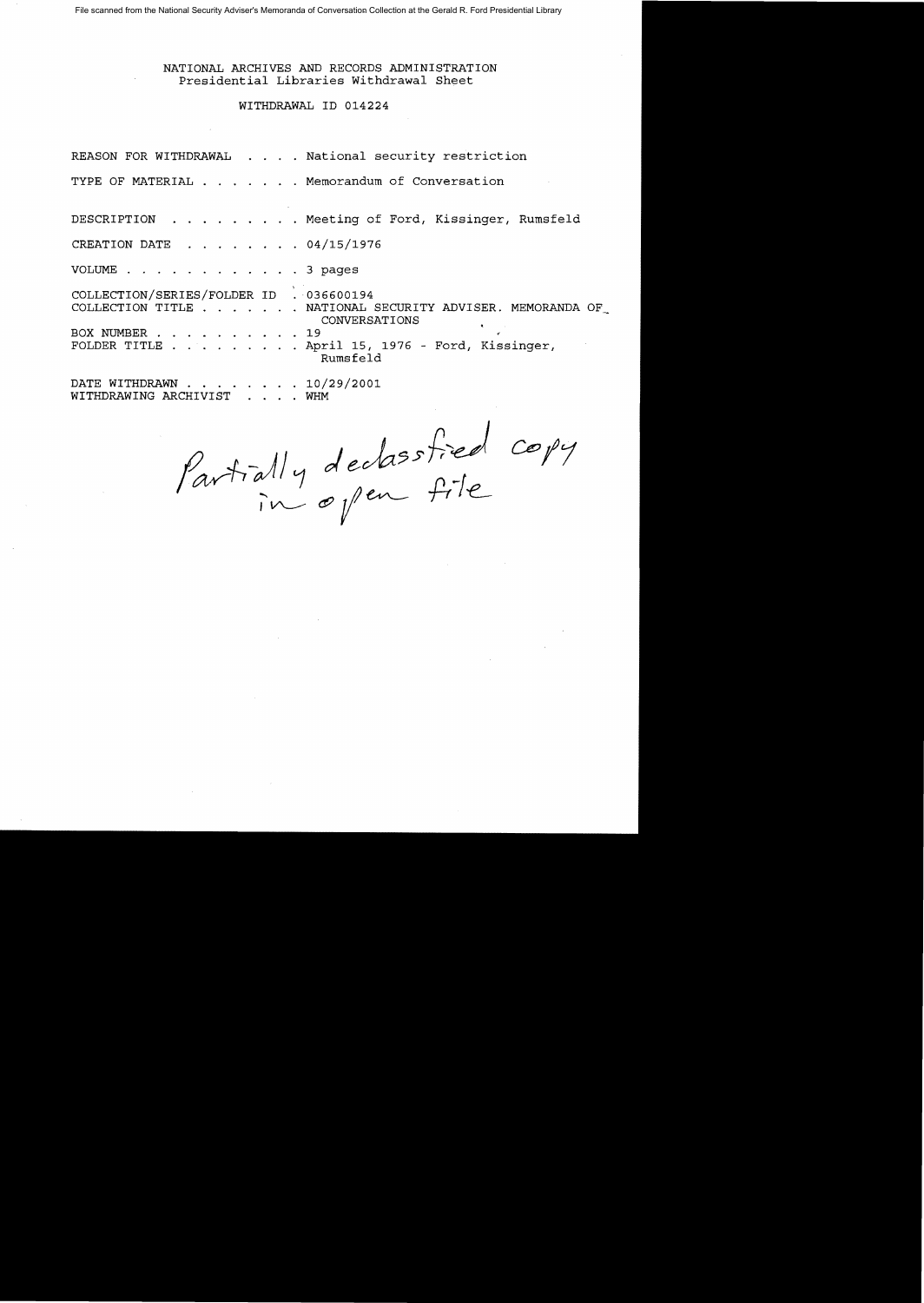NATIONAL ARCHIVES AND RECORDS ADMINISTRATION Presidential Libraries Withdrawal Sheet

## WITHDRAWAL ID 014224

|                                         |  | REASON FOR WITHDRAWAL National security restriction                       |
|-----------------------------------------|--|---------------------------------------------------------------------------|
|                                         |  | TYPE OF MATERIAL Memorandum of Conversation                               |
|                                         |  | DESCRIPTION Meeting of Ford, Kissinger, Rumsfeld                          |
| CREATION DATE 04/15/1976                |  |                                                                           |
| VOLUME 3 pages                          |  |                                                                           |
| COLLECTION/SERIES/FOLDER ID . 036600194 |  | COLLECTION TITLE NATIONAL SECURITY ADVISER. MEMORANDA OF<br>CONVERSATIONS |
| BOX NUMBER 19                           |  | FOLDER TITLE $\ldots$ April 15, 1976 - Ford, Kissinger,<br>Rumsfeld       |
| DATE WITHDRAWN 10/29/2001               |  |                                                                           |

WITHDRAWING ARCHIVIST WHM

Partially declassfied copy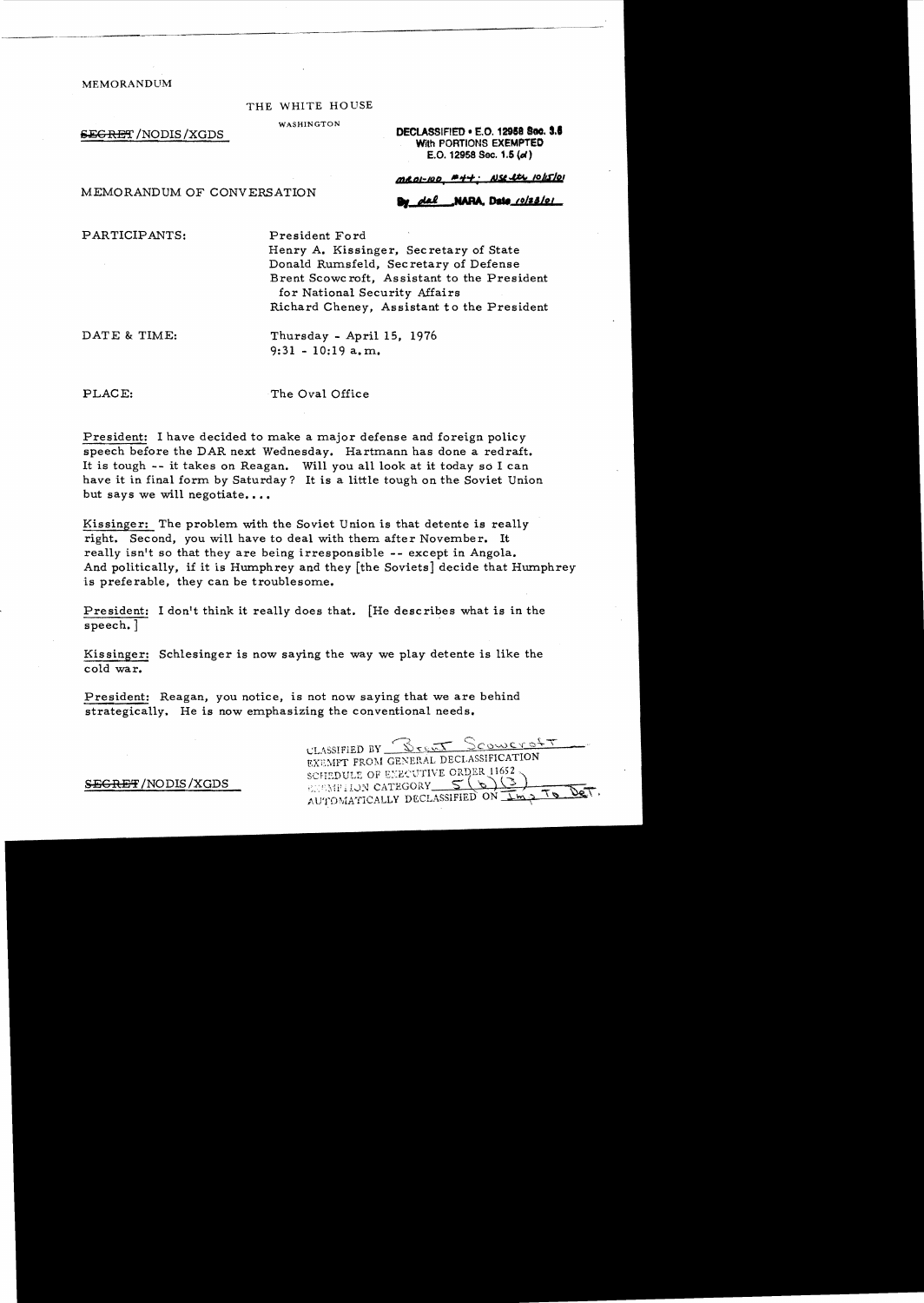MEMORANDUM

#### THE WHITE HOUSE

WASHINGTON

MEMORANDUM OF CONVERSATION

**EEGRET /NODIS /XGDS** MAXIMATED **DECLASSIFIED** • E.O. 12958 Soc. 3.6 With PORTIONS EXEMPTED E.O. 12958 Sec. 1.5 (d)

MROI-100 #44. NSE Its 10/15/01

NARA, Date\_co/z3/oi

PARTICIPANTS: President Ford

Henry A. Kissinger, Secretary of State Donald Rumsfeld, Secretary of Defense Brent Scowc roft, As sistant to the President for National Security Affairs Richard Cheney, Assistant to the President

DATE & TIME: Thursday - April 15, 1976 9:31 - 10:19 a.m..

PLACE: The Oval Office

President: I have decided to make a major defense and foreign policy speech before the DAR next Wednesday. Hartmann has done a redraft. It is tough -- it takes on Reagan. Will you all look at it today so I can have it in final form by Saturday? It is a little tough on the Soviet Union but says we will negotiate....

Kissinger: The problem. with the Soviet Union is that detente is really right. Second, you will have to deal with them after November. It really isn't so that they are being irresponsible -- except in Angola. And politically, if it is Humphrey and they [the Soviets] decide that Humphrey is preferable, they can be troublesome.

President: I don't think it really does that. [He describes what is in the speech. ]

Kissinger: Schlesinger is now saying the way we play detente is like the cold war.

President: Reagan, you notice, is not now saying that we are behind strategically. He is now emphasizing the conventional needs.

CLASSIFIED BY <u>Stent Scoweroft</u> **EXEMPT FROM GENERAL DECLASSIFICATION** SCHEDULE OF EXECUTIVE ORDER 11652 **ENEMPTION CATEGORY**  $56$ AUTOMATICALLY DECLASSIFIED ON IMP

S<del>ECRET</del> /NODIS /XGDS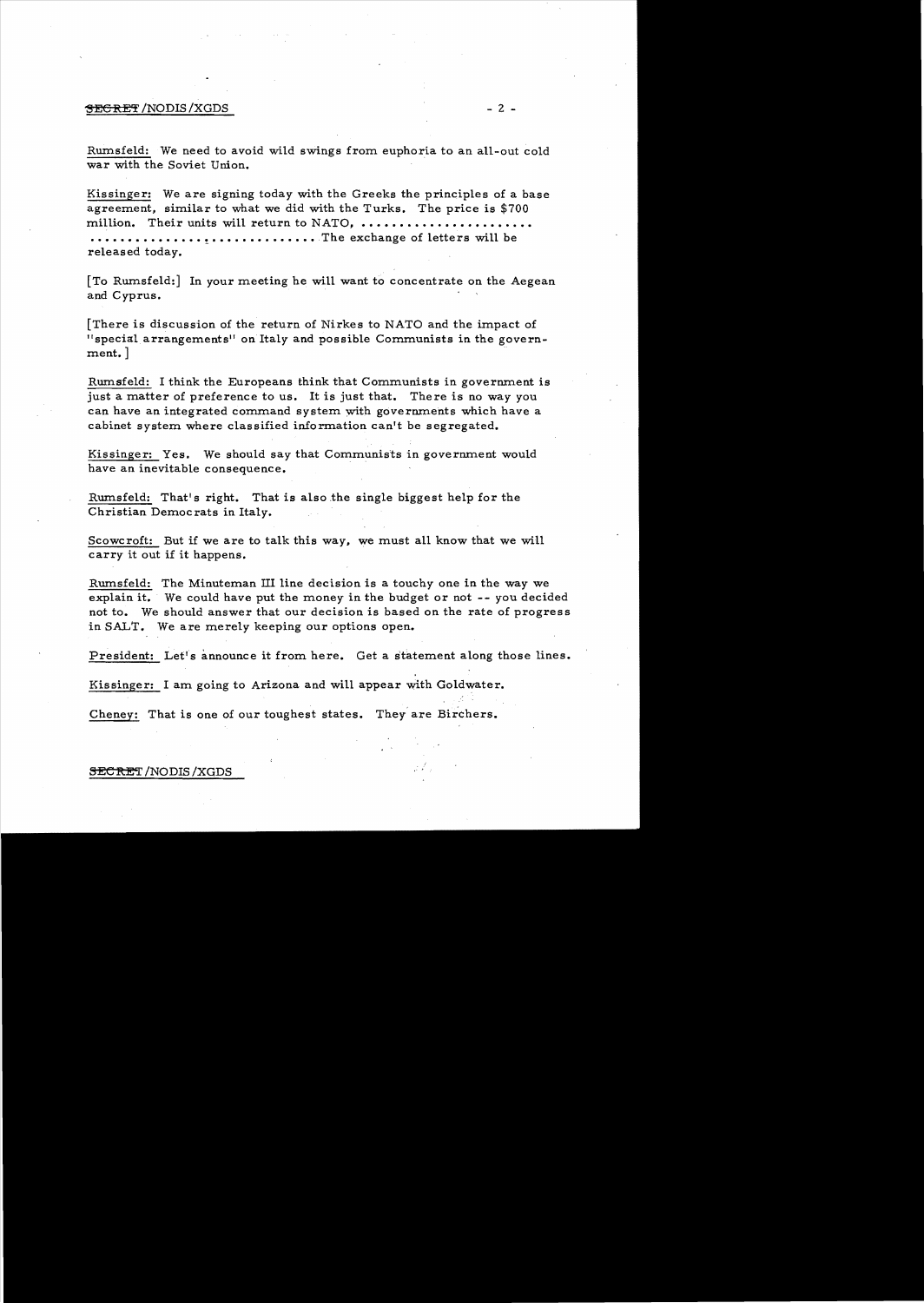## $\overline{\text{SEERET}}$  /NODIS/XGDS  $-2$  -

Rumsfeld: We need to avoid wild swings from euphoria to an all-out cold war with the Soviet Union.

Kissinger: We are signing today with the Greeks the principles of a base agreement, similar to what we did with the Turks. The price is \$700 million. Their units will return to NATO, ............ • • • • • • • • • • • • • • • • • • • • • • • • • • • • • • ,The exchange of letters will be released today.

[To Rumsfeld:] In your meeting he will want to concentrate on the Aegean and Cyprus.

[There is discussion of the return of Nirkes to NATO and the impact of "special arrangements" on Italy and possible Communists in the government. ]

Rurnsfeld: I think the Europeans think that Communists in govermnent is just a matter of preference to us. It is just that. There is no way you can have an integrated command system with govermnents which have a cabinet system where classified information can't be segregated.

Kissinger: Yes. We should say that Communists in govermnent would have an inevitable consequence.

Rumsfeld: That's right. That is also the single biggest help for the Christian Democrats in Italy.

Scowcroft: But if we are to talk this way, we must all know that we will carry it out if it happens.

Rumsfeld: The Minuteman III line decision is a touchy one in the way we explain it. We could have put the money in the budget or not -- you decided not to. We should answer that our decision is based on the rate of progress in SALT. We are merely keeping our options open.

President: Let's announce it from here. Get a statement along those lines.

Kissinger: I am going to Arizona and will appear with Goldwater.

Cheney: That is one of our toughest states. They are Birchers.

### **SECRET**/NODIS/XGDS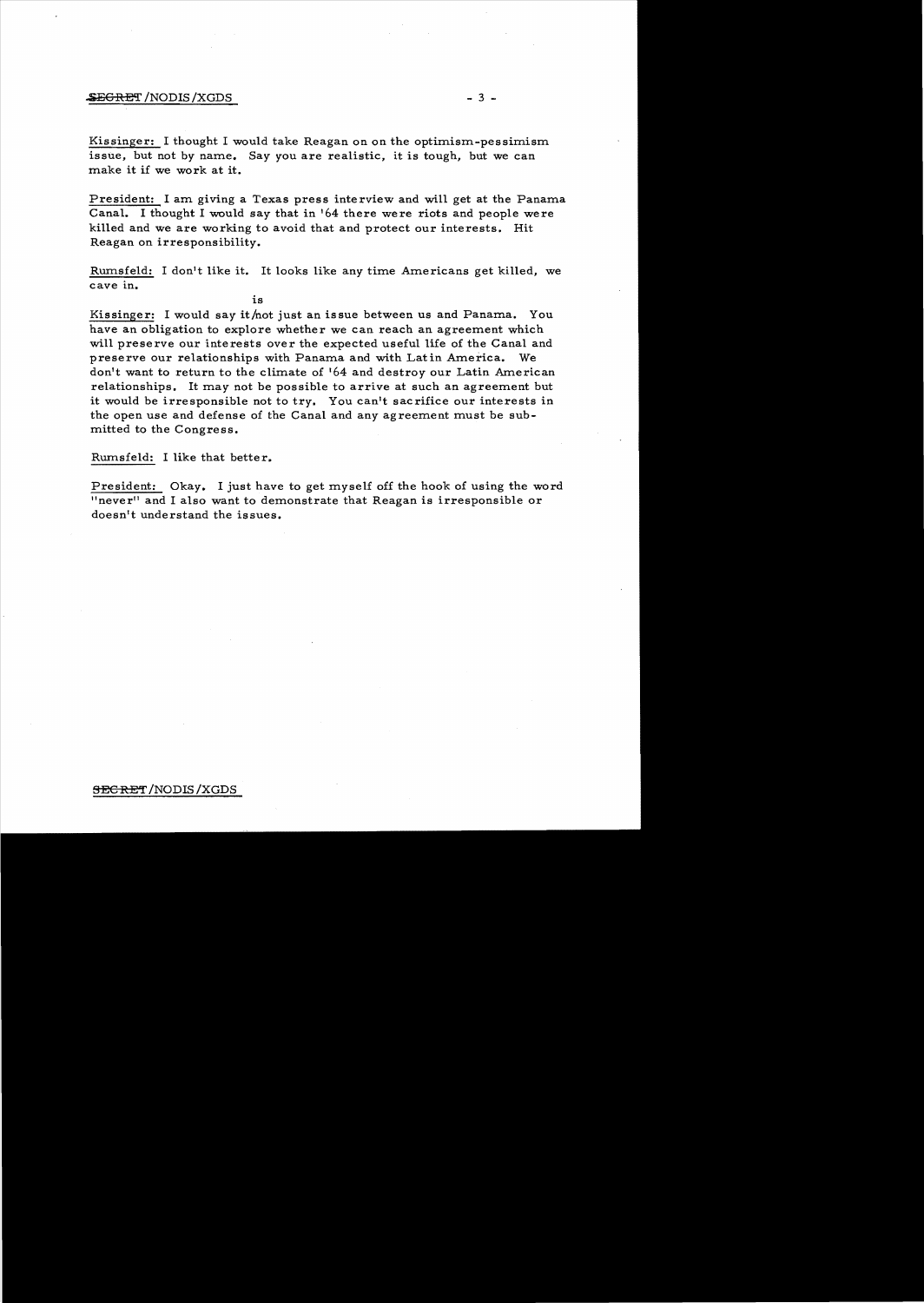## $-3 -$

Kissinger: I thought I would take Reagan on on the optimism-pessimism issue. but not *by* name. Say you are realistic, it is tough. but we can make it if we work at it.

President: I am giving a Texas press interview and will get at the Panama Canal. I thought I would say that in  $164$  there were riots and people were killed and we are working to avoid that and protect our interests. Hit Reagan on irresponsibility.

Rumsfeld: I don't like it. It looks like any time Americans get killed, we cave in.

is Kissinger: I would say it/not just an issue between us and Panama. You have an obligation to explore whether we can reach an agreement which will preserve our interests over the expected useful life of the Canal and preserve our relationships with Panama and with Latin America. We don't want to return to the climate of 164 and destroy our Latin American relationships. It may not be possible to arrive at such an agreement but it would be irresponsible not to *try.* You can't sacrifice our interests in the open use and defense of the Canal and any agreement must be sub-

Rurnsfeld: I like that better.

mitted to the Congress.

President: Okay. I just have to get myself off the hook of using the word "neverll and I also want to demonstrate that Reagan is irresponsible or doesn't understand the issues.